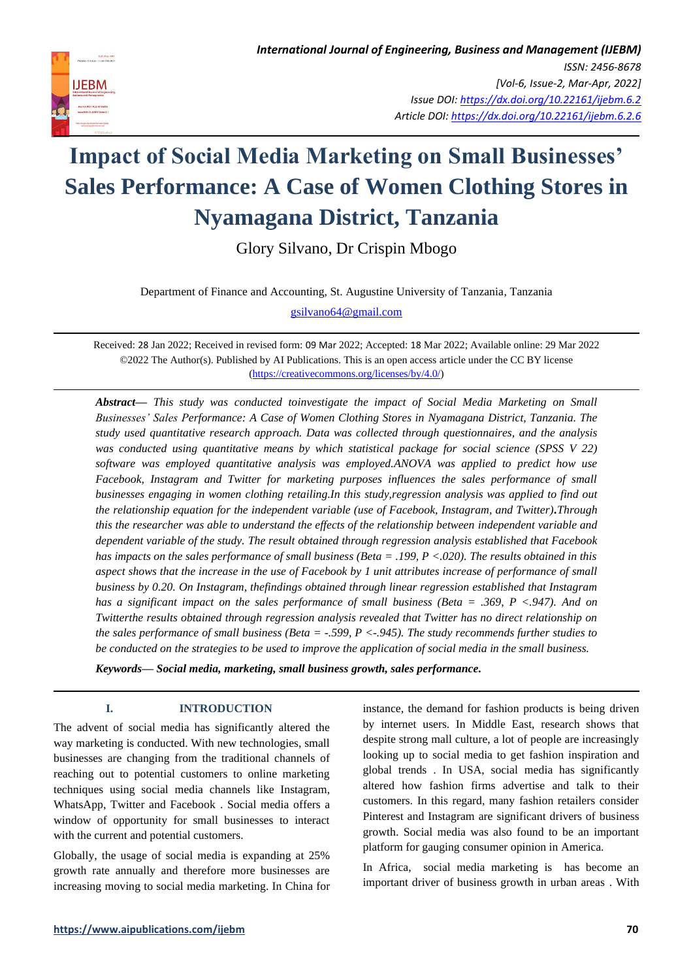

Glory Silvano, Dr Crispin Mbogo

Department of Finance and Accounting, St. Augustine University of Tanzania, Tanzania

[gsilvano64@gmail.com](mailto:gsilvano64@gmail.com)

Received: 28 Jan 2022; Received in revised form: 09 Mar 2022; Accepted: 18 Mar 2022; Available online: 29 Mar 2022 ©2022 The Author(s). Published by AI Publications. This is an open access article under the CC BY license [\(https://creativecommons.org/licenses/by/4.0/\)](https://creativecommons.org/licenses/by/4.0/)

*Abstract— This study was conducted toinvestigate the impact of Social Media Marketing on Small Businesses' Sales Performance: A Case of Women Clothing Stores in Nyamagana District, Tanzania. The study used quantitative research approach. Data was collected through questionnaires, and the analysis*  was conducted using quantitative means by which statistical package for social science (SPSS V 22) *software was employed quantitative analysis was employed.ANOVA was applied to predict how use Facebook, Instagram and Twitter for marketing purposes influences the sales performance of small businesses engaging in women clothing retailing.In this study,regression analysis was applied to find out the relationship equation for the independent variable (use of Facebook, Instagram, and Twitter).Through this the researcher was able to understand the effects of the relationship between independent variable and dependent variable of the study. The result obtained through regression analysis established that Facebook has impacts on the sales performance of small business (Beta = .199, P <.020). The results obtained in this aspect shows that the increase in the use of Facebook by 1 unit attributes increase of performance of small business by 0.20. On Instagram, thefindings obtained through linear regression established that Instagram has a significant impact on the sales performance of small business (Beta = .369, P <.947). And on Twitterthe results obtained through regression analysis revealed that Twitter has no direct relationship on the sales performance of small business (Beta = -.599, P <-.945). The study recommends further studies to be conducted on the strategies to be used to improve the application of social media in the small business.*

*Keywords— Social media, marketing, small business growth, sales performance.*

## **I. INTRODUCTION**

The advent of social media has significantly altered the way marketing is conducted. With new technologies, small businesses are changing from the traditional channels of reaching out to potential customers to online marketing techniques using social media channels like Instagram, WhatsApp, Twitter and Facebook . Social media offers a window of opportunity for small businesses to interact with the current and potential customers.

Globally, the usage of social media is expanding at 25% growth rate annually and therefore more businesses are increasing moving to social media marketing. In China for instance, the demand for fashion products is being driven by internet users. In Middle East, research shows that despite strong mall culture, a lot of people are increasingly looking up to social media to get fashion inspiration and global trends . In USA, social media has significantly altered how fashion firms advertise and talk to their customers. In this regard, many fashion retailers consider Pinterest and Instagram are significant drivers of business growth. Social media was also found to be an important platform for gauging consumer opinion in America.

In Africa, social media marketing is has become an important driver of business growth in urban areas . With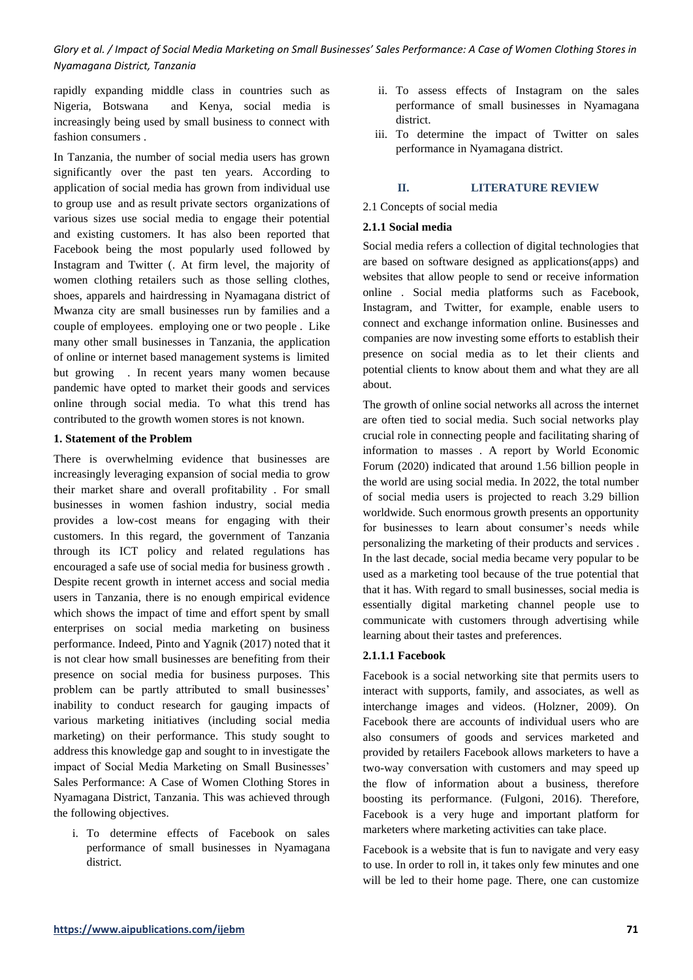rapidly expanding middle class in countries such as Nigeria, Botswana and Kenya, social media is increasingly being used by small business to connect with fashion consumers .

In Tanzania, the number of social media users has grown significantly over the past ten years. According to application of social media has grown from individual use to group use and as result private sectors organizations of various sizes use social media to engage their potential and existing customers. It has also been reported that Facebook being the most popularly used followed by Instagram and Twitter (. At firm level, the majority of women clothing retailers such as those selling clothes, shoes, apparels and hairdressing in Nyamagana district of Mwanza city are small businesses run by families and a couple of employees. employing one or two people . Like many other small businesses in Tanzania, the application of online or internet based management systems is limited but growing . In recent years many women because pandemic have opted to market their goods and services online through social media. To what this trend has contributed to the growth women stores is not known.

## **1. Statement of the Problem**

There is overwhelming evidence that businesses are increasingly leveraging expansion of social media to grow their market share and overall profitability . For small businesses in women fashion industry, social media provides a low-cost means for engaging with their customers. In this regard, the government of Tanzania through its ICT policy and related regulations has encouraged a safe use of social media for business growth . Despite recent growth in internet access and social media users in Tanzania, there is no enough empirical evidence which shows the impact of time and effort spent by small enterprises on social media marketing on business performance. Indeed, Pinto and Yagnik (2017) noted that it is not clear how small businesses are benefiting from their presence on social media for business purposes. This problem can be partly attributed to small businesses' inability to conduct research for gauging impacts of various marketing initiatives (including social media marketing) on their performance. This study sought to address this knowledge gap and sought to in investigate the impact of Social Media Marketing on Small Businesses' Sales Performance: A Case of Women Clothing Stores in Nyamagana District, Tanzania. This was achieved through the following objectives.

i. To determine effects of Facebook on sales performance of small businesses in Nyamagana district.

- ii. To assess effects of Instagram on the sales performance of small businesses in Nyamagana district.
- iii. To determine the impact of Twitter on sales performance in Nyamagana district.

## **II. LITERATURE REVIEW**

2.1 Concepts of social media

#### **2.1.1 Social media**

Social media refers a collection of digital technologies that are based on software designed as applications(apps) and websites that allow people to send or receive information online . Social media platforms such as Facebook, Instagram, and Twitter, for example, enable users to connect and exchange information online. Businesses and companies are now investing some efforts to establish their presence on social media as to let their clients and potential clients to know about them and what they are all about.

The growth of online social networks all across the internet are often tied to social media. Such social networks play crucial role in connecting people and facilitating sharing of information to masses . A report by World Economic Forum (2020) indicated that around 1.56 billion people in the world are using social media. In 2022, the total number of social media users is projected to reach 3.29 billion worldwide. Such enormous growth presents an opportunity for businesses to learn about consumer's needs while personalizing the marketing of their products and services . In the last decade, social media became very popular to be used as a marketing tool because of the true potential that that it has. With regard to small businesses, social media is essentially digital marketing channel people use to communicate with customers through advertising while learning about their tastes and preferences.

#### **2.1.1.1 Facebook**

Facebook is a social networking site that permits users to interact with supports, family, and associates, as well as interchange images and videos. (Holzner, 2009). On Facebook there are accounts of individual users who are also consumers of goods and services marketed and provided by retailers Facebook allows marketers to have a two-way conversation with customers and may speed up the flow of information about a business, therefore boosting its performance. (Fulgoni, 2016). Therefore, Facebook is a very huge and important platform for marketers where marketing activities can take place.

Facebook is a website that is fun to navigate and very easy to use. In order to roll in, it takes only few minutes and one will be led to their home page. There, one can customize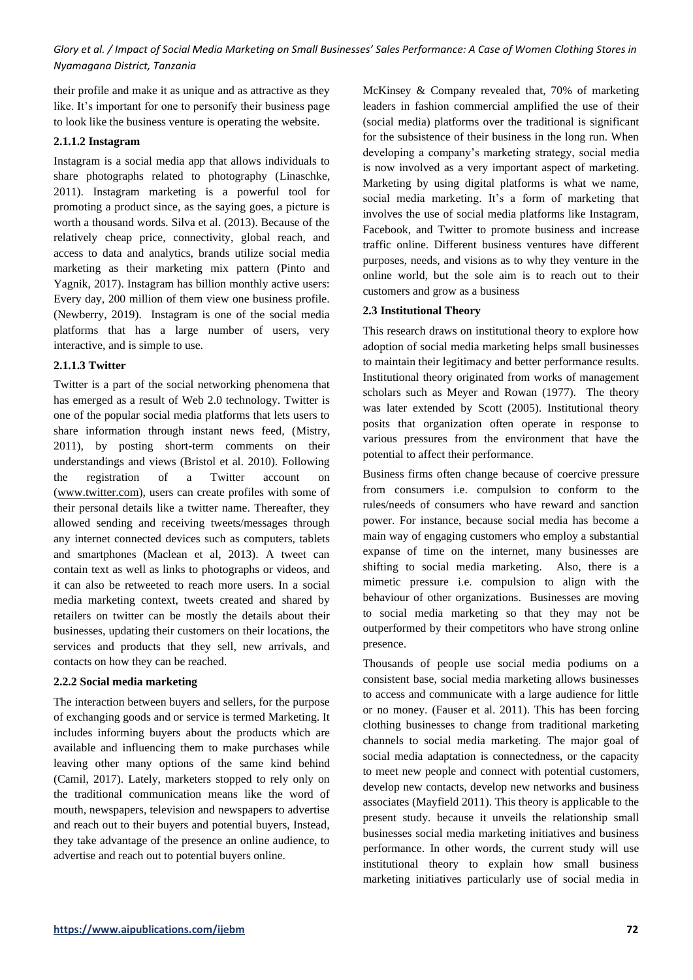their profile and make it as unique and as attractive as they like. It's important for one to personify their business page to look like the business venture is operating the website.

#### **2.1.1.2 Instagram**

Instagram is a social media app that allows individuals to share photographs related to photography (Linaschke, 2011). Instagram marketing is a powerful tool for promoting a product since, as the saying goes, a picture is worth a thousand words. Silva et al. (2013). Because of the relatively cheap price, connectivity, global reach, and access to data and analytics, brands utilize social media marketing as their marketing mix pattern (Pinto and Yagnik, 2017). Instagram has billion monthly active users: Every day, 200 million of them view one business profile. (Newberry, 2019). Instagram is one of the social media platforms that has a large number of users, very interactive, and is simple to use.

#### **2.1.1.3 Twitter**

Twitter is a part of the social networking phenomena that has emerged as a result of Web 2.0 technology. Twitter is one of the popular social media platforms that lets users to share information through instant news feed, (Mistry, 2011), by posting short-term comments on their understandings and views (Bristol et al. 2010). Following the registration of a Twitter account on [\(www.twitter.com\)](http://www.twitter.com/), users can create profiles with some of their personal details like a twitter name. Thereafter, they allowed sending and receiving tweets/messages through any internet connected devices such as computers, tablets and smartphones (Maclean et al, 2013). A tweet can contain text as well as links to photographs or videos, and it can also be retweeted to reach more users. In a social media marketing context, tweets created and shared by retailers on twitter can be mostly the details about their businesses, updating their customers on their locations, the services and products that they sell, new arrivals, and contacts on how they can be reached.

#### **2.2.2 Social media marketing**

The interaction between buyers and sellers, for the purpose of exchanging goods and or service is termed Marketing. It includes informing buyers about the products which are available and influencing them to make purchases while leaving other many options of the same kind behind (Camil, 2017). Lately, marketers stopped to rely only on the traditional communication means like the word of mouth, newspapers, television and newspapers to advertise and reach out to their buyers and potential buyers, Instead, they take advantage of the presence an online audience, to advertise and reach out to potential buyers online.

McKinsey & Company revealed that, 70% of marketing leaders in fashion commercial amplified the use of their (social media) platforms over the traditional is significant for the subsistence of their business in the long run. When developing a company's marketing strategy, social media is now involved as a very important aspect of marketing. Marketing by using digital platforms is what we name, social media marketing. It's a form of marketing that involves the use of social media platforms like Instagram, Facebook, and Twitter to promote business and increase traffic online. Different business ventures have different purposes, needs, and visions as to why they venture in the online world, but the sole aim is to reach out to their customers and grow as a business

## **2.3 Institutional Theory**

This research draws on institutional theory to explore how adoption of social media marketing helps small businesses to maintain their legitimacy and better performance results. Institutional theory originated from works of management scholars such as Meyer and Rowan (1977). The theory was later extended by Scott (2005). Institutional theory posits that organization often operate in response to various pressures from the environment that have the potential to affect their performance.

Business firms often change because of coercive pressure from consumers i.e. compulsion to conform to the rules/needs of consumers who have reward and sanction power. For instance, because social media has become a main way of engaging customers who employ a substantial expanse of time on the internet, many businesses are shifting to social media marketing. Also, there is a mimetic pressure i.e. compulsion to align with the behaviour of other organizations. Businesses are moving to social media marketing so that they may not be outperformed by their competitors who have strong online presence.

Thousands of people use social media podiums on a consistent base, social media marketing allows businesses to access and communicate with a large audience for little or no money. (Fauser et al. 2011). This has been forcing clothing businesses to change from traditional marketing channels to social media marketing. The major goal of social media adaptation is connectedness, or the capacity to meet new people and connect with potential customers, develop new contacts, develop new networks and business associates (Mayfield 2011). This theory is applicable to the present study. because it unveils the relationship small businesses social media marketing initiatives and business performance. In other words, the current study will use institutional theory to explain how small business marketing initiatives particularly use of social media in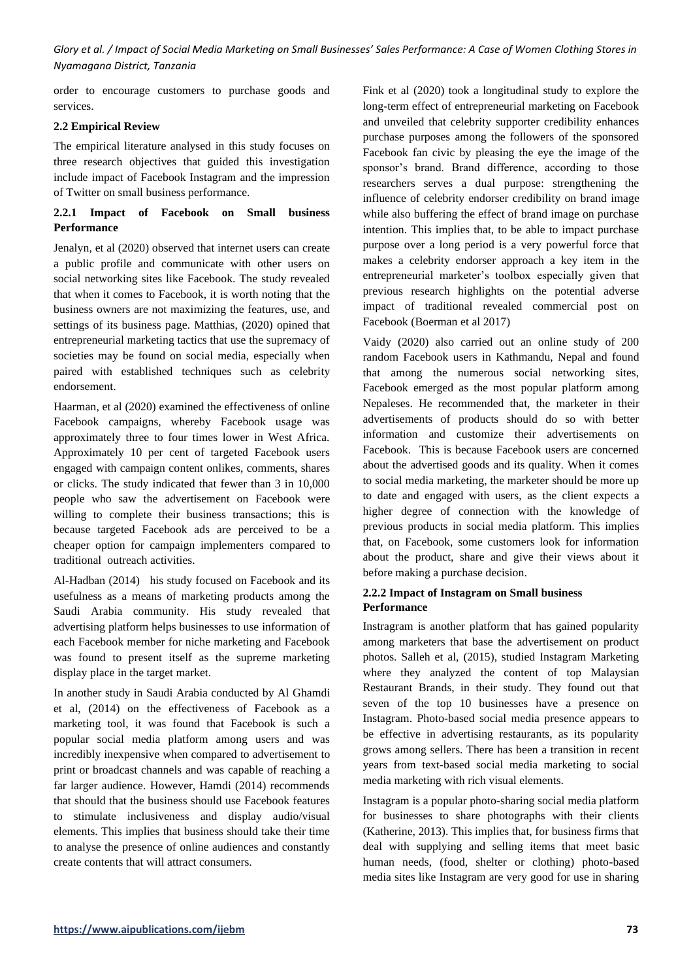order to encourage customers to purchase goods and services.

## **2.2 Empirical Review**

The empirical literature analysed in this study focuses on three research objectives that guided this investigation include impact of Facebook Instagram and the impression of Twitter on small business performance.

## **2.2.1 Impact of Facebook on Small business Performance**

Jenalyn, et al (2020) observed that internet users can create a public profile and communicate with other users on social networking sites like Facebook. The study revealed that when it comes to Facebook, it is worth noting that the business owners are not maximizing the features, use, and settings of its business page. Matthias, (2020) opined that entrepreneurial marketing tactics that use the supremacy of societies may be found on social media, especially when paired with established techniques such as celebrity endorsement.

Haarman, et al (2020) examined the effectiveness of online Facebook campaigns, whereby Facebook usage was approximately three to four times lower in West Africa. Approximately 10 per cent of targeted Facebook users engaged with campaign content onlikes, comments, shares or clicks. The study indicated that fewer than 3 in 10,000 people who saw the advertisement on Facebook were willing to complete their business transactions; this is because targeted Facebook ads are perceived to be a cheaper option for campaign implementers compared to traditional outreach activities.

Al-Hadban (2014) his study focused on Facebook and its usefulness as a means of marketing products among the Saudi Arabia community. His study revealed that advertising platform helps businesses to use information of each Facebook member for niche marketing and Facebook was found to present itself as the supreme marketing display place in the target market.

In another study in Saudi Arabia conducted by Al Ghamdi et al, (2014) on the effectiveness of Facebook as a marketing tool, it was found that Facebook is such a popular social media platform among users and was incredibly inexpensive when compared to advertisement to print or broadcast channels and was capable of reaching a far larger audience. However, Hamdi (2014) recommends that should that the business should use Facebook features to stimulate inclusiveness and display audio/visual elements. This implies that business should take their time to analyse the presence of online audiences and constantly create contents that will attract consumers.

Fink et al (2020) took a longitudinal study to explore the long-term effect of entrepreneurial marketing on Facebook and unveiled that celebrity supporter credibility enhances purchase purposes among the followers of the sponsored Facebook fan civic by pleasing the eye the image of the sponsor's brand. Brand difference, according to those researchers serves a dual purpose: strengthening the influence of celebrity endorser credibility on brand image while also buffering the effect of brand image on purchase intention. This implies that, to be able to impact purchase purpose over a long period is a very powerful force that makes a celebrity endorser approach a key item in the entrepreneurial marketer's toolbox especially given that previous research highlights on the potential adverse impact of traditional revealed commercial post on Facebook (Boerman et al 2017)

Vaidy (2020) also carried out an online study of 200 random Facebook users in Kathmandu, Nepal and found that among the numerous social networking sites, Facebook emerged as the most popular platform among Nepaleses. He recommended that, the marketer in their advertisements of products should do so with better information and customize their advertisements on Facebook. This is because Facebook users are concerned about the advertised goods and its quality. When it comes to social media marketing, the marketer should be more up to date and engaged with users, as the client expects a higher degree of connection with the knowledge of previous products in social media platform. This implies that, on Facebook, some customers look for information about the product, share and give their views about it before making a purchase decision.

## **2.2.2 Impact of Instagram on Small business Performance**

Instragram is another platform that has gained popularity among marketers that base the advertisement on product photos. Salleh et al, (2015), studied Instagram Marketing where they analyzed the content of top Malaysian Restaurant Brands, in their study. They found out that seven of the top 10 businesses have a presence on Instagram. Photo-based social media presence appears to be effective in advertising restaurants, as its popularity grows among sellers. There has been a transition in recent years from text-based social media marketing to social media marketing with rich visual elements.

Instagram is a popular photo-sharing social media platform for businesses to share photographs with their clients (Katherine, 2013). This implies that, for business firms that deal with supplying and selling items that meet basic human needs, (food, shelter or clothing) photo-based media sites like Instagram are very good for use in sharing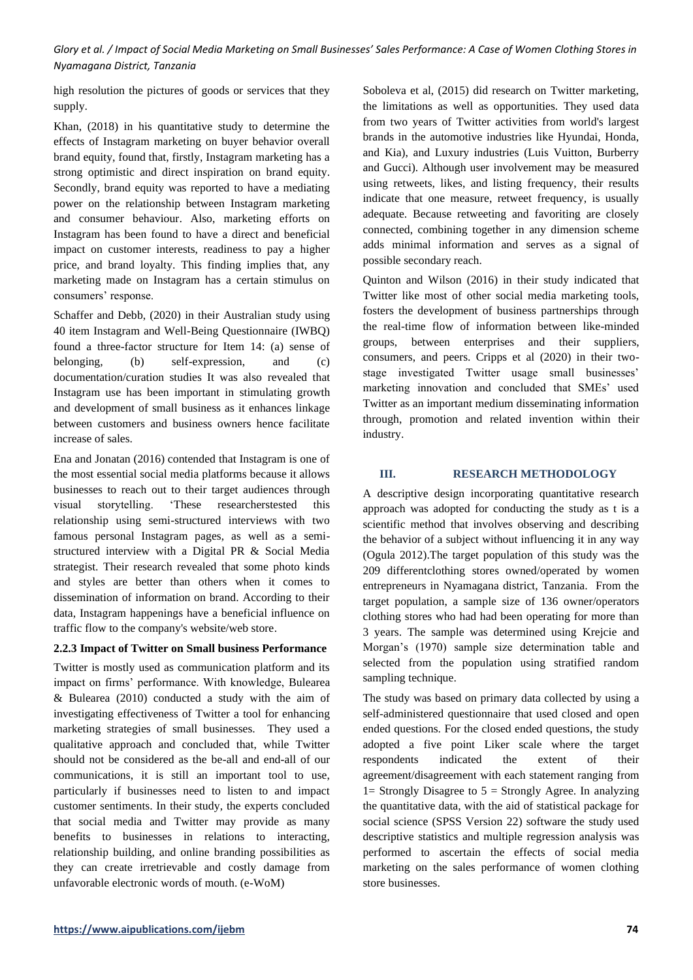high resolution the pictures of goods or services that they supply.

Khan, (2018) in his quantitative study to determine the effects of Instagram marketing on buyer behavior overall brand equity, found that, firstly, Instagram marketing has a strong optimistic and direct inspiration on brand equity. Secondly, brand equity was reported to have a mediating power on the relationship between Instagram marketing and consumer behaviour. Also, marketing efforts on Instagram has been found to have a direct and beneficial impact on customer interests, readiness to pay a higher price, and brand loyalty. This finding implies that, any marketing made on Instagram has a certain stimulus on consumers' response.

Schaffer and Debb, (2020) in their Australian study using 40 item Instagram and Well-Being Questionnaire (IWBQ) found a three-factor structure for Item 14: (a) sense of belonging, (b) self-expression, and (c) documentation/curation studies It was also revealed that Instagram use has been important in stimulating growth and development of small business as it enhances linkage between customers and business owners hence facilitate increase of sales.

Ena and Jonatan (2016) contended that Instagram is one of the most essential social media platforms because it allows businesses to reach out to their target audiences through visual storytelling. 'These researcherstested this relationship using semi-structured interviews with two famous personal Instagram pages, as well as a semistructured interview with a Digital PR & Social Media strategist. Their research revealed that some photo kinds and styles are better than others when it comes to dissemination of information on brand. According to their data, Instagram happenings have a beneficial influence on traffic flow to the company's website/web store.

## **2.2.3 Impact of Twitter on Small business Performance**

Twitter is mostly used as communication platform and its impact on firms' performance. With knowledge, Bulearea & Bulearea (2010) conducted a study with the aim of investigating effectiveness of Twitter a tool for enhancing marketing strategies of small businesses. They used a qualitative approach and concluded that, while Twitter should not be considered as the be-all and end-all of our communications, it is still an important tool to use, particularly if businesses need to listen to and impact customer sentiments. In their study, the experts concluded that social media and Twitter may provide as many benefits to businesses in relations to interacting, relationship building, and online branding possibilities as they can create irretrievable and costly damage from unfavorable electronic words of mouth. (e-WoM)

Soboleva et al, (2015) did research on Twitter marketing, the limitations as well as opportunities. They used data from two years of Twitter activities from world's largest brands in the automotive industries like Hyundai, Honda, and Kia), and Luxury industries (Luis Vuitton, Burberry and Gucci). Although user involvement may be measured using retweets, likes, and listing frequency, their results indicate that one measure, retweet frequency, is usually adequate. Because retweeting and favoriting are closely connected, combining together in any dimension scheme adds minimal information and serves as a signal of possible secondary reach.

Quinton and Wilson (2016) in their study indicated that Twitter like most of other social media marketing tools, fosters the development of business partnerships through the real-time flow of information between like-minded groups, between enterprises and their suppliers, consumers, and peers. Cripps et al (2020) in their twostage investigated Twitter usage small businesses' marketing innovation and concluded that SMEs' used Twitter as an important medium disseminating information through, promotion and related invention within their industry.

## **III. RESEARCH METHODOLOGY**

A descriptive design incorporating quantitative research approach was adopted for conducting the study as t is a scientific method that involves observing and describing the behavior of a subject without influencing it in any way (Ogula 2012).The target population of this study was the 209 differentclothing stores owned/operated by women entrepreneurs in Nyamagana district, Tanzania. From the target population, a sample size of 136 owner/operators clothing stores who had had been operating for more than 3 years. The sample was determined using Krejcie and Morgan's (1970) sample size determination table and selected from the population using stratified random sampling technique.

The study was based on primary data collected by using a self-administered questionnaire that used closed and open ended questions. For the closed ended questions, the study adopted a five point Liker scale where the target respondents indicated the extent of their agreement/disagreement with each statement ranging from 1= Strongly Disagree to  $5 =$  Strongly Agree. In analyzing the quantitative data, with the aid of statistical package for social science (SPSS Version 22) software the study used descriptive statistics and multiple regression analysis was performed to ascertain the effects of social media marketing on the sales performance of women clothing store businesses.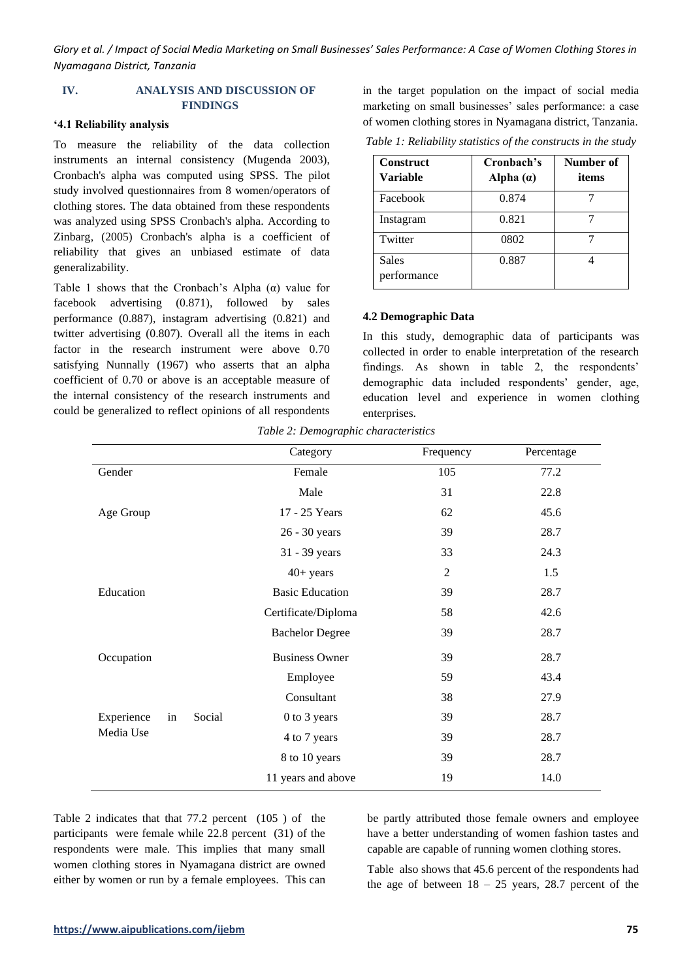## **IV. ANALYSIS AND DISCUSSION OF FINDINGS**

#### **'4.1 Reliability analysis**

To measure the reliability of the data collection instruments an internal consistency (Mugenda 2003), Cronbach's alpha was computed using SPSS. The pilot study involved questionnaires from 8 women/operators of clothing stores. The data obtained from these respondents was analyzed using SPSS Cronbach's alpha. According to Zinbarg, (2005) Cronbach's alpha is a coefficient of reliability that gives an unbiased estimate of data generalizability.

Table 1 shows that the Cronbach's Alpha  $(\alpha)$  value for facebook advertising (0.871), followed by sales performance (0.887), instagram advertising (0.821) and twitter advertising (0.807). Overall all the items in each factor in the research instrument were above 0.70 satisfying Nunnally (1967) who asserts that an alpha coefficient of 0.70 or above is an acceptable measure of the internal consistency of the research instruments and could be generalized to reflect opinions of all respondents in the target population on the impact of social media marketing on small businesses' sales performance: a case of women clothing stores in Nyamagana district, Tanzania.

*Table 1: Reliability statistics of the constructs in the study*

| Construct<br>Variable       | Cronbach's<br>Alpha $(a)$ | Number of<br>items |
|-----------------------------|---------------------------|--------------------|
| Facebook                    | 0.874                     |                    |
| Instagram                   | 0.821                     |                    |
| Twitter                     | 0802                      |                    |
| <b>Sales</b><br>performance | 0.887                     |                    |

#### **4.2 Demographic Data**

In this study, demographic data of participants was collected in order to enable interpretation of the research findings. As shown in table 2, the respondents' demographic data included respondents' gender, age, education level and experience in women clothing enterprises.

|            |    |        | Category               | Frequency      | Percentage |
|------------|----|--------|------------------------|----------------|------------|
| Gender     |    |        | Female                 | 105            | 77.2       |
|            |    |        | Male                   | 31             | 22.8       |
| Age Group  |    |        | 17 - 25 Years          | 62             | 45.6       |
|            |    |        | 26 - 30 years          | 39             | 28.7       |
|            |    |        | 31 - 39 years          | 33             | 24.3       |
|            |    |        | $40+ years$            | $\overline{2}$ | 1.5        |
| Education  |    |        | <b>Basic Education</b> | 39             | 28.7       |
|            |    |        | Certificate/Diploma    | 58             | 42.6       |
|            |    |        | <b>Bachelor Degree</b> | 39             | 28.7       |
| Occupation |    |        | <b>Business Owner</b>  | 39             | 28.7       |
|            |    |        | Employee               | 59             | 43.4       |
|            |    |        | Consultant             | 38             | 27.9       |
| Experience | in | Social | 0 to 3 years           | 39             | 28.7       |
| Media Use  |    |        | 4 to 7 years           | 39             | 28.7       |
|            |    |        | 8 to 10 years          | 39             | 28.7       |
|            |    |        | 11 years and above     | 19             | 14.0       |

*Table 2: Demographic characteristics*

Table 2 indicates that that 77.2 percent (105 ) of the participants were female while 22.8 percent (31) of the respondents were male. This implies that many small women clothing stores in Nyamagana district are owned either by women or run by a female employees. This can be partly attributed those female owners and employee have a better understanding of women fashion tastes and capable are capable of running women clothing stores.

Table also shows that 45.6 percent of the respondents had the age of between  $18 - 25$  years, 28.7 percent of the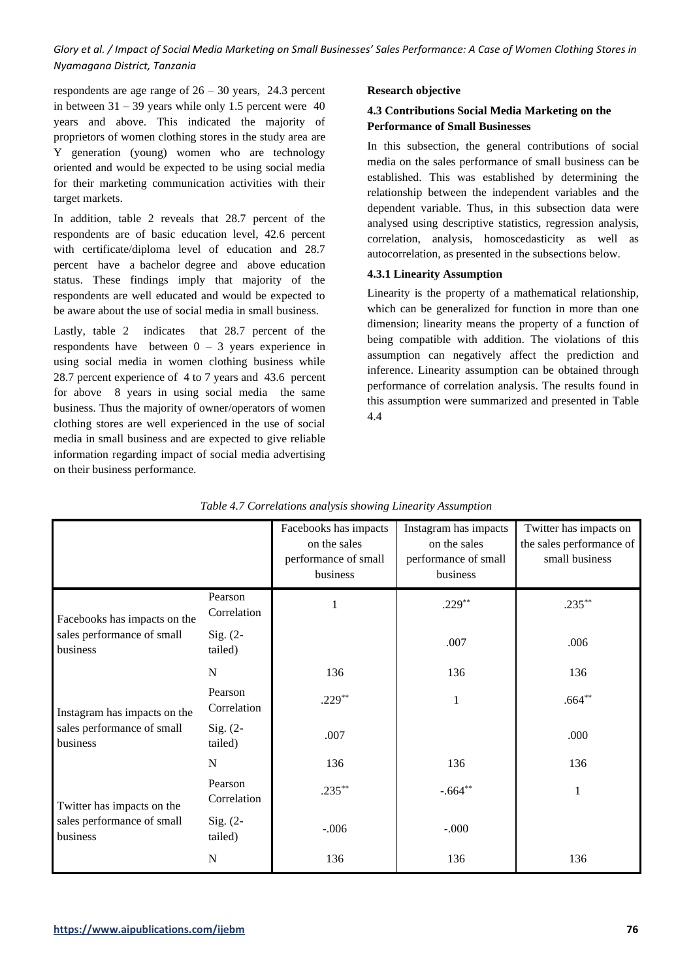respondents are age range of 26 – 30 years, 24.3 percent in between  $31 - 39$  years while only 1.5 percent were 40 years and above. This indicated the majority of proprietors of women clothing stores in the study area are Y generation (young) women who are technology oriented and would be expected to be using social media for their marketing communication activities with their target markets.

In addition, table 2 reveals that 28.7 percent of the respondents are of basic education level, 42.6 percent with certificate/diploma level of education and 28.7 percent have a bachelor degree and above education status. These findings imply that majority of the respondents are well educated and would be expected to be aware about the use of social media in small business.

Lastly, table 2 indicates that 28.7 percent of the respondents have between  $0 - 3$  years experience in using social media in women clothing business while 28.7 percent experience of 4 to 7 years and 43.6 percent for above 8 years in using social media the same business. Thus the majority of owner/operators of women clothing stores are well experienced in the use of social media in small business and are expected to give reliable information regarding impact of social media advertising on their business performance.

## **Research objective**

## **4.3 Contributions Social Media Marketing on the Performance of Small Businesses**

In this subsection, the general contributions of social media on the sales performance of small business can be established. This was established by determining the relationship between the independent variables and the dependent variable. Thus, in this subsection data were analysed using descriptive statistics, regression analysis, correlation, analysis, homoscedasticity as well as autocorrelation, as presented in the subsections below.

## **4.3.1 Linearity Assumption**

Linearity is the property of a mathematical relationship, which can be generalized for function in more than one dimension; linearity means the property of a function of being compatible with addition. The violations of this assumption can negatively affect the prediction and inference. Linearity assumption can be obtained through performance of correlation analysis. The results found in this assumption were summarized and presented in Table 4.4

|                                        |                        | Facebooks has impacts<br>on the sales<br>performance of small<br>business | Instagram has impacts<br>on the sales<br>performance of small<br>business | Twitter has impacts on<br>the sales performance of<br>small business |
|----------------------------------------|------------------------|---------------------------------------------------------------------------|---------------------------------------------------------------------------|----------------------------------------------------------------------|
| Facebooks has impacts on the           | Pearson<br>Correlation |                                                                           | $.229***$                                                                 | $.235***$                                                            |
| sales performance of small<br>business | $Sig. (2-$<br>tailed)  |                                                                           | .007                                                                      | .006                                                                 |
|                                        | N                      | 136                                                                       | 136                                                                       | 136                                                                  |
| Instagram has impacts on the           | Pearson<br>Correlation | $.229***$                                                                 | 1                                                                         | $.664***$                                                            |
| sales performance of small<br>business | $Sig. (2-$<br>tailed)  | .007                                                                      |                                                                           | .000                                                                 |
|                                        | $\mathbf N$            | 136                                                                       | 136                                                                       | 136                                                                  |
| Twitter has impacts on the             | Pearson<br>Correlation | $.235***$                                                                 | $-.664**$                                                                 | 1                                                                    |
| sales performance of small<br>business | $Sig. (2-$<br>tailed)  | $-.006$                                                                   | $-.000$                                                                   |                                                                      |
|                                        | N                      | 136                                                                       | 136                                                                       | 136                                                                  |

*Table 4.7 Correlations analysis showing Linearity Assumption*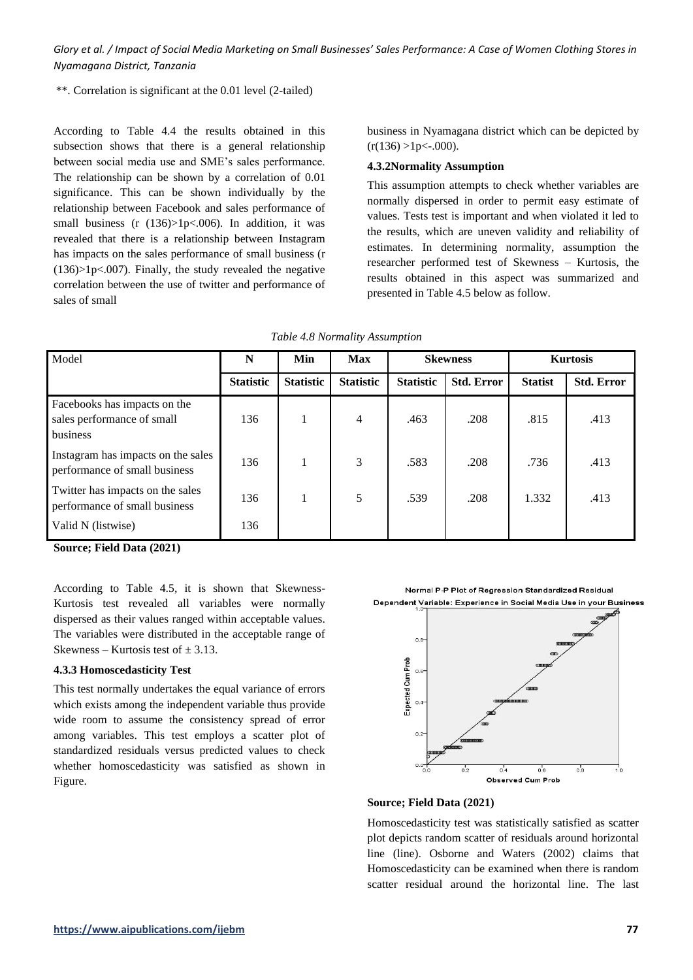## \*\*. Correlation is significant at the 0.01 level (2-tailed)

According to Table 4.4 the results obtained in this subsection shows that there is a general relationship between social media use and SME's sales performance. The relationship can be shown by a correlation of 0.01 significance. This can be shown individually by the relationship between Facebook and sales performance of small business (r  $(136) > 1p < .006$ ). In addition, it was revealed that there is a relationship between Instagram has impacts on the sales performance of small business (r  $(136)$ >1p<.007). Finally, the study revealed the negative correlation between the use of twitter and performance of sales of small

business in Nyamagana district which can be depicted by  $(r(136) >1 p<-.000)$ .

## **4.3.2Normality Assumption**

This assumption attempts to check whether variables are normally dispersed in order to permit easy estimate of values. Tests test is important and when violated it led to the results, which are uneven validity and reliability of estimates. In determining normality, assumption the researcher performed test of Skewness – Kurtosis, the results obtained in this aspect was summarized and presented in Table 4.5 below as follow.

| Model                                                                  | N                | Min              | <b>Max</b>       | <b>Skewness</b>  |                   | <b>Kurtosis</b> |                   |
|------------------------------------------------------------------------|------------------|------------------|------------------|------------------|-------------------|-----------------|-------------------|
|                                                                        | <b>Statistic</b> | <b>Statistic</b> | <b>Statistic</b> | <b>Statistic</b> | <b>Std. Error</b> | <b>Statist</b>  | <b>Std. Error</b> |
| Facebooks has impacts on the<br>sales performance of small<br>business | 136              |                  | $\overline{4}$   | .463             | .208              | .815            | .413              |
| Instagram has impacts on the sales<br>performance of small business    | 136              | 1                | 3                | .583             | .208              | .736            | .413              |
| Twitter has impacts on the sales<br>performance of small business      | 136              |                  | 5                | .539             | .208              | 1.332           | .413              |
| Valid N (listwise)                                                     | 136              |                  |                  |                  |                   |                 |                   |

**Source; Field Data (2021)**

According to Table 4.5, it is shown that Skewness-Kurtosis test revealed all variables were normally dispersed as their values ranged within acceptable values. The variables were distributed in the acceptable range of Skewness – Kurtosis test of  $\pm$  3.13.

## **4.3.3 Homoscedasticity Test**

This test normally undertakes the equal variance of errors which exists among the independent variable thus provide wide room to assume the consistency spread of error among variables. This test employs a scatter plot of standardized residuals versus predicted values to check whether homoscedasticity was satisfied as shown in Figure.

Normal P-P Plot of Regression Standardized Residual Dependent Variable: Experience in Social Media Use in your Business



## **Source; Field Data (2021)**

Homoscedasticity test was statistically satisfied as scatter plot depicts random scatter of residuals around horizontal line (line). Osborne and Waters (2002) claims that Homoscedasticity can be examined when there is random scatter residual around the horizontal line. The last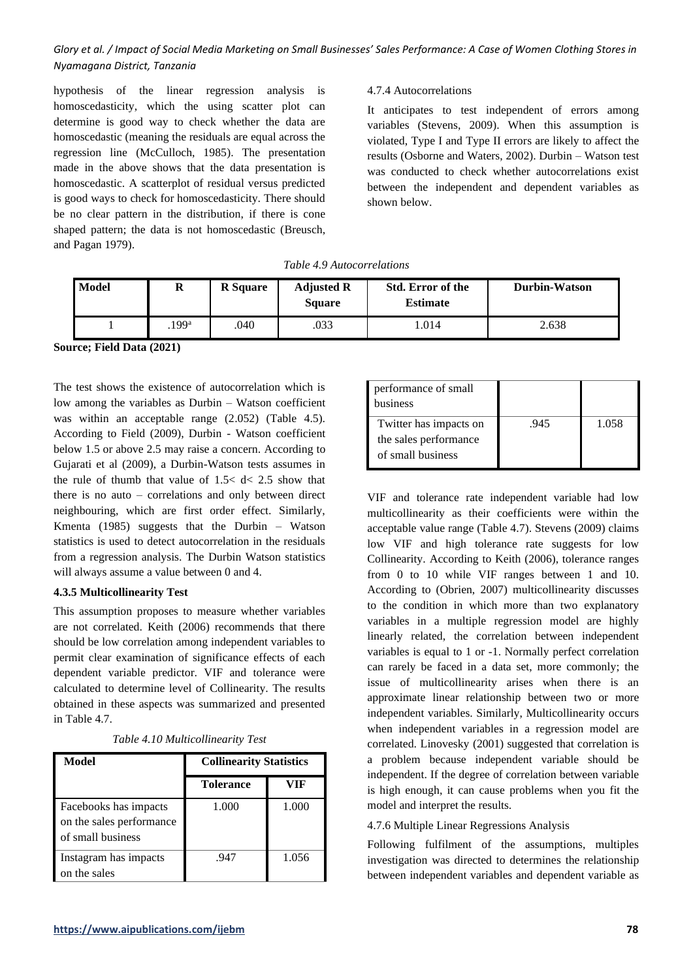hypothesis of the linear regression analysis is homoscedasticity, which the using scatter plot can determine is good way to check whether the data are homoscedastic (meaning the residuals are equal across the regression line (McCulloch, 1985). The presentation made in the above shows that the data presentation is homoscedastic. A scatterplot of residual versus predicted is good ways to check for homoscedasticity. There should be no clear pattern in the distribution, if there is cone shaped pattern; the data is not homoscedastic (Breusch, and Pagan 1979).

## 4.7.4 Autocorrelations

It anticipates to test independent of errors among variables (Stevens, 2009). When this assumption is violated, Type I and Type II errors are likely to affect the results (Osborne and Waters, 2002). Durbin – Watson test was conducted to check whether autocorrelations exist between the independent and dependent variables as shown below.

*Table 4.9 Autocorrelations*

| <b>Model</b> | R                 | <b>R</b> Square | <b>Adjusted R</b><br><b>Square</b> | <b>Std. Error of the</b><br><b>Estimate</b> | <b>Durbin-Watson</b> |
|--------------|-------------------|-----------------|------------------------------------|---------------------------------------------|----------------------|
|              | .199 <sup>a</sup> | .040            | .033                               | .014                                        | 2.638                |

**Source; Field Data (2021)**

The test shows the existence of autocorrelation which is low among the variables as Durbin – Watson coefficient was within an acceptable range (2.052) (Table 4.5). According to Field (2009), Durbin - Watson coefficient below 1.5 or above 2.5 may raise a concern. According to Gujarati et al (2009), a Durbin-Watson tests assumes in the rule of thumb that value of  $1.5 < d < 2.5$  show that there is no auto – correlations and only between direct neighbouring, which are first order effect. Similarly, Kmenta (1985) suggests that the Durbin – Watson statistics is used to detect autocorrelation in the residuals from a regression analysis. The Durbin Watson statistics will always assume a value between 0 and 4.

## **4.3.5 Multicollinearity Test**

This assumption proposes to measure whether variables are not correlated. Keith (2006) recommends that there should be low correlation among independent variables to permit clear examination of significance effects of each dependent variable predictor. VIF and tolerance were calculated to determine level of Collinearity. The results obtained in these aspects was summarized and presented in Table 4.7.

| Model                                                                  | <b>Collinearity Statistics</b> |       |  |
|------------------------------------------------------------------------|--------------------------------|-------|--|
|                                                                        | <b>Tolerance</b>               | VIF   |  |
| Facebooks has impacts<br>on the sales performance<br>of small business | 1.000                          | 1.000 |  |
| Instagram has impacts<br>on the sales                                  | .947                           | 1.056 |  |

|  |  | Table 4.10 Multicollinearity Test |  |  |  |
|--|--|-----------------------------------|--|--|--|
|--|--|-----------------------------------|--|--|--|

| performance of small<br>business                                     |      |       |
|----------------------------------------------------------------------|------|-------|
| Twitter has impacts on<br>the sales performance<br>of small business | .945 | 1.058 |

VIF and tolerance rate independent variable had low multicollinearity as their coefficients were within the acceptable value range (Table 4.7). Stevens (2009) claims low VIF and high tolerance rate suggests for low Collinearity. According to Keith (2006), tolerance ranges from 0 to 10 while VIF ranges between 1 and 10. According to (Obrien, 2007) multicollinearity discusses to the condition in which more than two explanatory variables in a multiple regression model are highly linearly related, the correlation between independent variables is equal to 1 or -1. Normally perfect correlation can rarely be faced in a data set, more commonly; the issue of multicollinearity arises when there is an approximate linear relationship between two or more independent variables. Similarly, Multicollinearity occurs when independent variables in a regression model are correlated. Linovesky (2001) suggested that correlation is a problem because independent variable should be independent. If the degree of correlation between variable is high enough, it can cause problems when you fit the model and interpret the results.

# 4.7.6 Multiple Linear Regressions Analysis

Following fulfilment of the assumptions, multiples investigation was directed to determines the relationship between independent variables and dependent variable as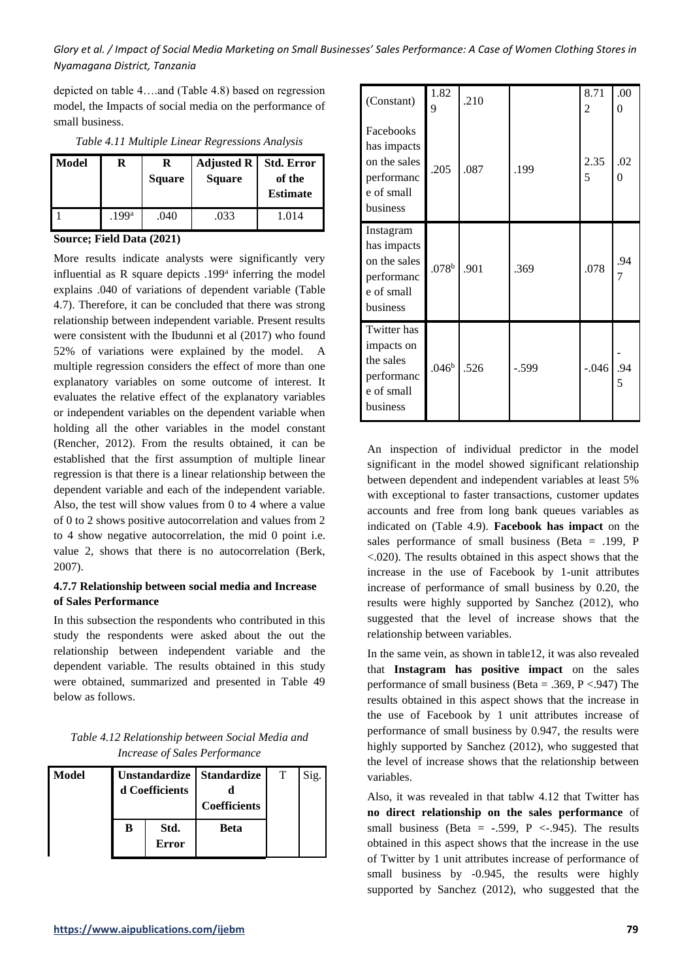depicted on table 4….and (Table 4.8) based on regression model, the Impacts of social media on the performance of small business.

| <b>Model</b> | R                | R<br><b>Square</b> | <b>Adjusted R</b><br><b>Square</b> | <b>Std. Error</b><br>of the<br><b>Estimate</b> |
|--------------|------------------|--------------------|------------------------------------|------------------------------------------------|
|              | 199 <sup>a</sup> | .040               | .033                               | 1.014                                          |

*Table 4.11 Multiple Linear Regressions Analysis*

## **Source; Field Data (2021)**

More results indicate analysts were significantly very influential as R square depicts .199<sup>a</sup> inferring the model explains .040 of variations of dependent variable (Table 4.7). Therefore, it can be concluded that there was strong relationship between independent variable. Present results were consistent with the Ibudunni et al (2017) who found 52% of variations were explained by the model. A multiple regression considers the effect of more than one explanatory variables on some outcome of interest. It evaluates the relative effect of the explanatory variables or independent variables on the dependent variable when holding all the other variables in the model constant (Rencher, 2012). From the results obtained, it can be established that the first assumption of multiple linear regression is that there is a linear relationship between the dependent variable and each of the independent variable. Also, the test will show values from 0 to 4 where a value of 0 to 2 shows positive autocorrelation and values from 2 to 4 show negative autocorrelation, the mid 0 point i.e. value 2, shows that there is no autocorrelation (Berk, 2007).

## **4.7.7 Relationship between social media and Increase of Sales Performance**

In this subsection the respondents who contributed in this study the respondents were asked about the out the relationship between independent variable and the dependent variable. The results obtained in this study were obtained, summarized and presented in Table 49 below as follows.

| Table 4.12 Relationship between Social Media and |
|--------------------------------------------------|
| <b>Increase of Sales Performance</b>             |

| <b>Model</b> | Unstandardize   Standardize |               |                     | т | Sig. |
|--------------|-----------------------------|---------------|---------------------|---|------|
|              | d Coefficients              |               |                     |   |      |
|              |                             |               | <b>Coefficients</b> |   |      |
|              | В                           | Std.<br>Error | <b>Beta</b>         |   |      |

| (Constant)                                                                       | 1.82<br>9         | .210 |         | 8.71<br>2 | .00<br>$\Omega$ |
|----------------------------------------------------------------------------------|-------------------|------|---------|-----------|-----------------|
| Facebooks<br>has impacts<br>on the sales<br>performanc<br>e of small<br>business | .205              | .087 | .199    | 2.35<br>5 | .02<br>$\Omega$ |
| Instagram<br>has impacts<br>on the sales<br>performanc<br>e of small<br>business | .078 <sup>b</sup> | .901 | .369    | .078      | .94<br>7        |
| Twitter has<br>impacts on<br>the sales<br>performanc<br>e of small<br>business   | .046 <sup>b</sup> | .526 | $-.599$ | $-0.046$  | .94<br>5        |

An inspection of individual predictor in the model significant in the model showed significant relationship between dependent and independent variables at least 5% with exceptional to faster transactions, customer updates accounts and free from long bank queues variables as indicated on (Table 4.9). **Facebook has impact** on the sales performance of small business (Beta = .199, P <.020). The results obtained in this aspect shows that the increase in the use of Facebook by 1-unit attributes increase of performance of small business by 0.20, the results were highly supported by Sanchez (2012), who suggested that the level of increase shows that the relationship between variables.

In the same vein, as shown in table12, it was also revealed that **Instagram has positive impact** on the sales performance of small business (Beta = .369,  $P < .947$ ) The results obtained in this aspect shows that the increase in the use of Facebook by 1 unit attributes increase of performance of small business by 0.947, the results were highly supported by Sanchez (2012), who suggested that the level of increase shows that the relationship between variables.

Also, it was revealed in that tablw 4.12 that Twitter has **no direct relationship on the sales performance** of small business (Beta =  $-.599$ , P <-.945). The results obtained in this aspect shows that the increase in the use of Twitter by 1 unit attributes increase of performance of small business by -0.945, the results were highly supported by Sanchez (2012), who suggested that the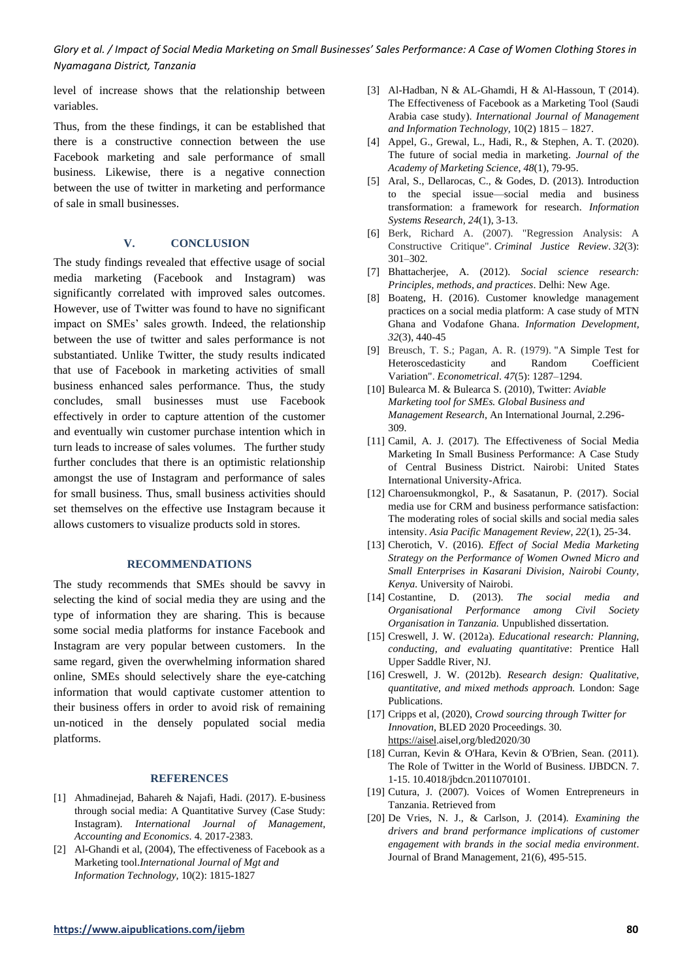level of increase shows that the relationship between variables.

Thus, from the these findings, it can be established that there is a constructive connection between the use Facebook marketing and sale performance of small business. Likewise, there is a negative connection between the use of twitter in marketing and performance of sale in small businesses.

## **V. CONCLUSION**

The study findings revealed that effective usage of social media marketing (Facebook and Instagram) was significantly correlated with improved sales outcomes. However, use of Twitter was found to have no significant impact on SMEs' sales growth. Indeed, the relationship between the use of twitter and sales performance is not substantiated. Unlike Twitter, the study results indicated that use of Facebook in marketing activities of small business enhanced sales performance. Thus, the study concludes, small businesses must use Facebook effectively in order to capture attention of the customer and eventually win customer purchase intention which in turn leads to increase of sales volumes. The further study further concludes that there is an optimistic relationship amongst the use of Instagram and performance of sales for small business. Thus, small business activities should set themselves on the effective use Instagram because it allows customers to visualize products sold in stores.

#### **RECOMMENDATIONS**

The study recommends that SMEs should be savvy in selecting the kind of social media they are using and the type of information they are sharing. This is because some social media platforms for instance Facebook and Instagram are very popular between customers. In the same regard, given the overwhelming information shared online, SMEs should selectively share the eye-catching information that would captivate customer attention to their business offers in order to avoid risk of remaining un-noticed in the densely populated social media platforms.

#### **REFERENCES**

- [1] Ahmadinejad, Bahareh & Najafi, Hadi. (2017). E-business through social media: A Quantitative Survey (Case Study: Instagram). *International Journal of Management, Accounting and Economics*. 4. 2017-2383.
- [2] Al-Ghandi et al, (2004), The effectiveness of Facebook as a Marketing tool.*International Journal of Mgt and Information Technology,* 10(2): 1815-1827
- [3] Al-Hadban, N & AL-Ghamdi, H & Al-Hassoun, T (2014). The Effectiveness of Facebook as a Marketing Tool (Saudi Arabia case study). *International Journal of Management and Information Technology,* 10(2) 1815 – 1827.
- [4] Appel, G., Grewal, L., Hadi, R., & Stephen, A. T. (2020). The future of social media in marketing. *Journal of the Academy of Marketing Science*, *48*(1), 79-95.
- [5] Aral, S., Dellarocas, C., & Godes, D. (2013). Introduction to the special issue—social media and business transformation: a framework for research. *Information Systems Research, 24*(1), 3-13.
- [6] Berk, Richard A. (2007). "Regression Analysis: A Constructive Critique". *Criminal Justice Review*. *32*(3): 301–302.
- [7] Bhattacherjee, A. (2012). *Social science research: Principles, methods, and practices*. Delhi: New Age.
- [8] Boateng, H. (2016). Customer knowledge management practices on a social media platform: A case study of MTN Ghana and Vodafone Ghana. *Information Development, 32*(3), 440-45
- [9] Breusch, T. S.; Pagan, A. R. (1979). "A Simple Test for Heteroscedasticity and Random Coefficient Variation". *Econometrical*. *47*(5): 1287–1294.
- [10] Bulearca M. & Bulearca S. (2010), Twitter: *Aviable Marketing tool for SMEs. Global Business and Management Research*, An International Journal, 2.296- 309.
- [11] Camil, A. J. (2017). The Effectiveness of Social Media Marketing In Small Business Performance: A Case Study of Central Business District. Nairobi: United States International University-Africa.
- [12] Charoensukmongkol, P., & Sasatanun, P. (2017). Social media use for CRM and business performance satisfaction: The moderating roles of social skills and social media sales intensity. *Asia Pacific Management Review, 22*(1), 25-34.
- [13] Cherotich, V. (2016). *Effect of Social Media Marketing Strategy on the Performance of Women Owned Micro and Small Enterprises in Kasarani Division, Nairobi County, Kenya.* University of Nairobi.
- [14] Costantine, D. (2013). *The social media and Organisational Performance among Civil Society Organisation in Tanzania.* Unpublished dissertation.
- [15] Creswell, J. W. (2012a). *Educational research: Planning, conducting, and evaluating quantitative*: Prentice Hall Upper Saddle River, NJ.
- [16] Creswell, J. W. (2012b). *Research design: Qualitative, quantitative, and mixed methods approach.* London: Sage Publications.
- [17] Cripps et al, (2020), *Crowd sourcing through Twitter for Innovation*, BLED 2020 Proceedings. 30. [https://aisel.](https://aisel/)aisel,org/bled2020/30
- [18] Curran, Kevin & O'Hara, Kevin & O'Brien, Sean. (2011). The Role of Twitter in the World of Business. IJBDCN. 7. 1-15. 10.4018/jbdcn.2011070101.
- [19] Cutura, J. (2007). Voices of Women Entrepreneurs in Tanzania. Retrieved from
- [20] De Vries, N. J., & Carlson, J. (2014). *Examining the drivers and brand performance implications of customer engagement with brands in the social media environment*. Journal of Brand Management, 21(6), 495-515.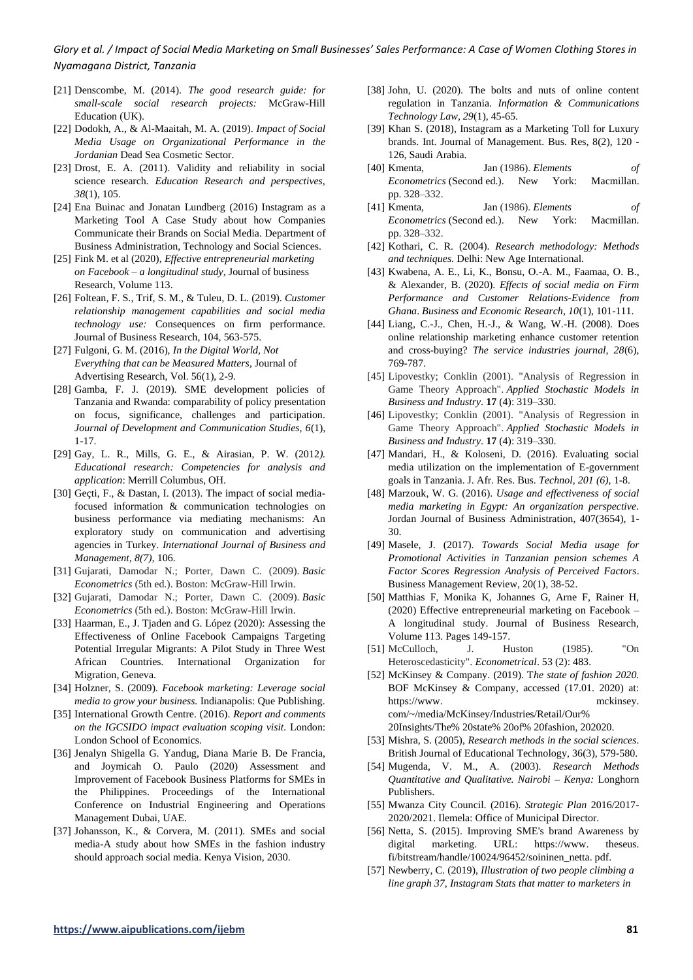- [21] Denscombe, M. (2014). *The good research guide: for small-scale social research projects:* McGraw-Hill Education (UK).
- [22] Dodokh, A., & Al-Maaitah, M. A. (2019). *Impact of Social Media Usage on Organizational Performance in the Jordanian* Dead Sea Cosmetic Sector.
- [23] Drost, E. A. (2011). Validity and reliability in social science research*. Education Research and perspectives, 38*(1), 105.
- [24] Ena Buinac and Jonatan Lundberg (2016) Instagram as a Marketing Tool A Case Study about how Companies Communicate their Brands on Social Media. Department of Business Administration, Technology and Social Sciences.
- [25] Fink M. et al (2020), *Effective entrepreneurial marketing on Facebook – a longitudinal study,* Journal of business Research, Volume 113.
- [26] Foltean, F. S., Trif, S. M., & Tuleu, D. L. (2019). *Customer relationship management capabilities and social media technology use:* Consequences on firm performance. Journal of Business Research, 104, 563-575.
- [27] Fulgoni, G. M. (2016), *In the Digital World, Not Everything that can be Measured Matters*, Journal of Advertising Research, Vol. 56(1), 2-9.
- [28] Gamba, F. J. (2019). SME development policies of Tanzania and Rwanda: comparability of policy presentation on focus, significance, challenges and participation. *Journal of Development and Communication Studies, 6*(1), 1-17.
- [29] Gay, L. R., Mills, G. E., & Airasian, P. W. (2012*). Educational research: Competencies for analysis and application*: Merrill Columbus, OH.
- [30] Geçti, F., & Dastan, I. (2013). The impact of social mediafocused information & communication technologies on business performance via mediating mechanisms: An exploratory study on communication and advertising agencies in Turkey. *International Journal of Business and Management, 8(7),* 106.
- [31] Gujarati, Damodar N.; Porter, Dawn C. (2009). *Basic Econometrics* (5th ed.). Boston: McGraw-Hill Irwin.
- [32] Gujarati, Damodar N.; Porter, Dawn C. (2009). *Basic Econometrics* (5th ed.). Boston: McGraw-Hill Irwin.
- [33] Haarman, E., J. Tjaden and G. López (2020): Assessing the Effectiveness of Online Facebook Campaigns Targeting Potential Irregular Migrants: A Pilot Study in Three West African Countries. International Organization for Migration, Geneva.
- [34] Holzner, S. (2009). *Facebook marketing: Leverage social media to grow your business.* Indianapolis: Que Publishing.
- [35] International Growth Centre. (2016). *Report and comments on the IGCSIDO impact evaluation scoping visit.* London: London School of Economics.
- [36] Jenalyn Shigella G. Yandug, Diana Marie B. De Francia, and Joymicah O. Paulo (2020) Assessment and Improvement of Facebook Business Platforms for SMEs in the Philippines. Proceedings of the International Conference on Industrial Engineering and Operations Management Dubai, UAE.
- [37] Johansson, K., & Corvera, M. (2011). SMEs and social media-A study about how SMEs in the fashion industry should approach social media. Kenya Vision, 2030.
- [38] John, U. (2020). The bolts and nuts of online content regulation in Tanzania. *Information & Communications Technology Law, 29*(1), 45-65.
- [39] Khan S. (2018), Instagram as a Marketing Toll for Luxury brands. Int. Journal of Management. Bus. Res, 8(2), 120 - 126, Saudi Arabia.
- [40] Kmenta, Jan (1986). *Elements of Econometrics* (Second ed.). New York: Macmillan. pp. 328–332.
- [41] Kmenta, Jan (1986). *Elements of Econometrics* (Second ed.). New York: Macmillan. pp. 328–332.
- [42] Kothari, C. R. (2004). *Research methodology: Methods and techniques.* Delhi: New Age International.
- [43] Kwabena, A. E., Li, K., Bonsu, O.-A. M., Faamaa, O. B., & Alexander, B. (2020). *Effects of social media on Firm Performance and Customer Relations-Evidence from Ghana*. *Business and Economic Research, 10*(1), 101-111.
- [44] Liang, C.-J., Chen, H.-J., & Wang, W.-H. (2008). Does online relationship marketing enhance customer retention and cross-buying? *The service industries journal, 28*(6), 769-787.
- [45] Lipovestky; Conklin (2001). "Analysis of Regression in Game Theory Approach". *Applied Stochastic Models in Business and Industry*. **17** (4): 319–330.
- [46] Lipovestky; Conklin (2001). "Analysis of Regression in Game Theory Approach". *Applied Stochastic Models in Business and Industry*. **17** (4): 319–330.
- [47] Mandari, H., & Koloseni, D. (2016). Evaluating social media utilization on the implementation of E-government goals in Tanzania. J. Afr. Res. Bus. *Technol, 201 (6),* 1-8.
- [48] Marzouk, W. G. (2016). *Usage and effectiveness of social media marketing in Egypt: An organization perspective*. Jordan Journal of Business Administration, 407(3654), 1- 30.
- [49] Masele, J. (2017). *Towards Social Media usage for Promotional Activities in Tanzanian pension schemes A Factor Scores Regression Analysis of Perceived Factors*. Business Management Review, 20(1), 38-52.
- [50] Matthias F, Monika K, Johannes G, Arne F, Rainer H, (2020) Effective entrepreneurial marketing on Facebook – A longitudinal study. Journal of Business Research, Volume 113. Pages 149-157.
- [51] McCulloch, J. Huston (1985). "On Heteroscedasticity". *Econometrical*. 53 (2): 483.
- [52] McKinsey & Company. (2019). T*he state of fashion 2020.* BOF McKinsey & Company, accessed (17.01. 2020) at: https://www. mckinsey. com/~/media/McKinsey/Industries/Retail/Our% 20Insights/The% 20state% 20of% 20fashion, 202020.
- [53] Mishra, S. (2005), *Research methods in the social sciences*. British Journal of Educational Technology, 36(3), 579-580.
- [54] Mugenda, V. M., A. (2003). *Research Methods Quantitative and Qualitative. Nairobi – Kenya:* Longhorn Publishers.
- [55] Mwanza City Council. (2016). *Strategic Plan* 2016/2017- 2020/2021. Ilemela: Office of Municipal Director.
- [56] Netta, S. (2015). Improving SME's brand Awareness by digital marketing. URL: https://www. theseus. fi/bitstream/handle/10024/96452/soininen\_netta. pdf.
- [57] Newberry, C. (2019), *Illustration of two people climbing a line graph 37, Instagram Stats that matter to marketers in*